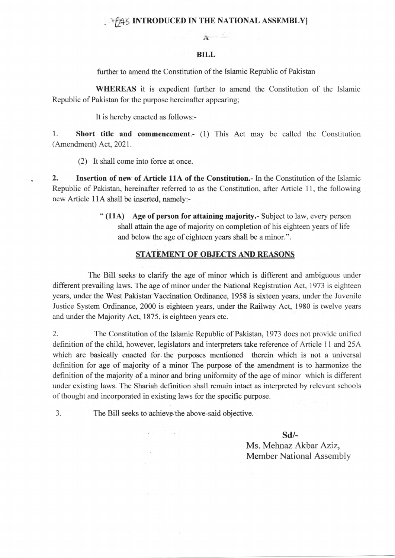## **1994 INTRODUCED IN THE NATIONAL ASSEMBLY**

## BILL

A

further to amend the Constitution of the Islamic Republic of Pakistan

WHEREAS it is expedient further to amend the Constitution of the Islamic Republic of Pakistan for the purpose hereinafter appearing;

It is hereby enacted as follows:-

1. Short title and commencement.- (1) This Act may be called the Constitution (Amendment) Act, 2021.

(2) It shall come into force at once.

2. Insertion of new of Article 11A of the Constitution.- In the Constitution of the Islamic Republic of Pakistan, hereinafter referred to as the Constitution, after Article 11, the following new Article 11A shall be inserted, namely:-

> " (11A) Age of person for attaining majority.- Subject to law, every person shall attain the age of majority on completion of his eighteen years of life and below the age of eighteen years shall be a minor.".

## STATEMENT OF OBJECTS AND REASONS

The Bill seeks to clarify the age of minor which is different and ambiguous under different prevailing laws. The age of minor under the National Registration Act, 1973 is eighteen years, under the West Pakistan Vaccination Ordinance, 1958 is sixteen years, under the Juvenile Justice System Ordinance, 2000 is eighteen years, under the Railway Act, 1980 is twelve years and under the Majority Act, 1875, is eighteen years etc.

2. The Constitution of the Islamic Republic of Pakistan,1973 does not provide unified definition of the child, however, legislators and interpreters take reference of Article 1l and 25A which are basieally enacted for the purposes mentioned therein which is not a universal definition for age of majority of a minor The purpose of the amendment is to harmonize the definition of the majority of a minor and bring uniformity of the age of minor which is different under existing laws. The Shariah definition shall remain intact as interpreted by relevant schools of thought and incorporated in existing laws for the specific purpose.

The Bill seeks to achieve the above-said objective. 3.

sd/-

Ms. Mehnaz Akbar Aziz, Member National Assembly